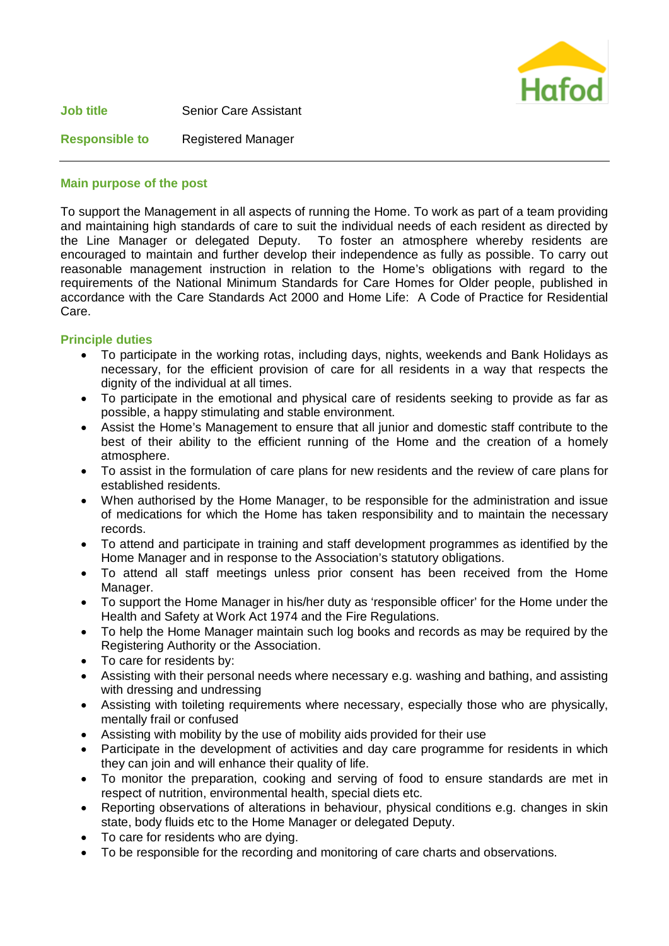

## **Main purpose of the post**

To support the Management in all aspects of running the Home. To work as part of a team providing and maintaining high standards of care to suit the individual needs of each resident as directed by the Line Manager or delegated Deputy. To foster an atmosphere whereby residents are encouraged to maintain and further develop their independence as fully as possible. To carry out reasonable management instruction in relation to the Home's obligations with regard to the requirements of the National Minimum Standards for Care Homes for Older people, published in accordance with the Care Standards Act 2000 and Home Life: A Code of Practice for Residential Care.

## **Principle duties**

- To participate in the working rotas, including days, nights, weekends and Bank Holidays as necessary, for the efficient provision of care for all residents in a way that respects the dignity of the individual at all times.
- To participate in the emotional and physical care of residents seeking to provide as far as possible, a happy stimulating and stable environment.
- Assist the Home's Management to ensure that all junior and domestic staff contribute to the best of their ability to the efficient running of the Home and the creation of a homely atmosphere.
- To assist in the formulation of care plans for new residents and the review of care plans for established residents.
- When authorised by the Home Manager, to be responsible for the administration and issue of medications for which the Home has taken responsibility and to maintain the necessary records.
- To attend and participate in training and staff development programmes as identified by the Home Manager and in response to the Association's statutory obligations.
- To attend all staff meetings unless prior consent has been received from the Home Manager.
- To support the Home Manager in his/her duty as 'responsible officer' for the Home under the Health and Safety at Work Act 1974 and the Fire Regulations.
- To help the Home Manager maintain such log books and records as may be required by the Registering Authority or the Association.
- To care for residents by:
- Assisting with their personal needs where necessary e.g. washing and bathing, and assisting with dressing and undressing
- Assisting with toileting requirements where necessary, especially those who are physically, mentally frail or confused
- Assisting with mobility by the use of mobility aids provided for their use
- Participate in the development of activities and day care programme for residents in which they can join and will enhance their quality of life.
- To monitor the preparation, cooking and serving of food to ensure standards are met in respect of nutrition, environmental health, special diets etc.
- Reporting observations of alterations in behaviour, physical conditions e.g. changes in skin state, body fluids etc to the Home Manager or delegated Deputy.
- To care for residents who are dying.
- To be responsible for the recording and monitoring of care charts and observations.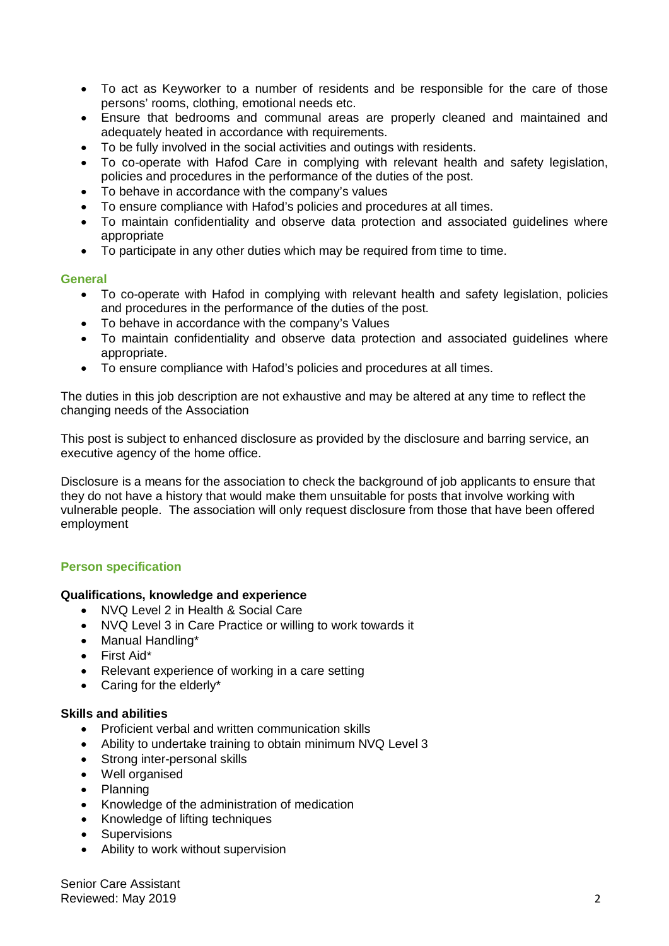- To act as Keyworker to a number of residents and be responsible for the care of those persons' rooms, clothing, emotional needs etc.
- Ensure that bedrooms and communal areas are properly cleaned and maintained and adequately heated in accordance with requirements.
- To be fully involved in the social activities and outings with residents.
- To co-operate with Hafod Care in complying with relevant health and safety legislation, policies and procedures in the performance of the duties of the post.
- To behave in accordance with the company's values
- To ensure compliance with Hafod's policies and procedures at all times.
- To maintain confidentiality and observe data protection and associated guidelines where appropriate
- To participate in any other duties which may be required from time to time.

#### **General**

- To co-operate with Hafod in complying with relevant health and safety legislation, policies and procedures in the performance of the duties of the post.
- To behave in accordance with the company's Values
- To maintain confidentiality and observe data protection and associated guidelines where appropriate.
- To ensure compliance with Hafod's policies and procedures at all times.

The duties in this job description are not exhaustive and may be altered at any time to reflect the changing needs of the Association

This post is subject to enhanced disclosure as provided by the disclosure and barring service, an executive agency of the home office.

Disclosure is a means for the association to check the background of job applicants to ensure that they do not have a history that would make them unsuitable for posts that involve working with vulnerable people. The association will only request disclosure from those that have been offered employment

# **Person specification**

#### **Qualifications, knowledge and experience**

- NVQ Level 2 in Health & Social Care
- NVQ Level 3 in Care Practice or willing to work towards it
- Manual Handling\*
- First Aid\*
- Relevant experience of working in a care setting
- Caring for the elderly\*

#### **Skills and abilities**

- Proficient verbal and written communication skills
- Ability to undertake training to obtain minimum NVQ Level 3
- Strong inter-personal skills
- Well organised
- Planning
- Knowledge of the administration of medication
- Knowledge of lifting techniques
- Supervisions
- Ability to work without supervision

Senior Care Assistant Reviewed: May 2019 2